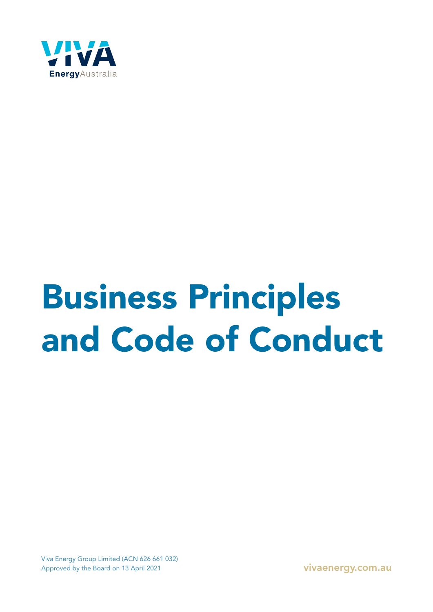

# Business Principles and Code of Conduct

Viva Energy Group Limited (ACN 626 661 032) Approved by the Board on 13 April 2021 vivaenergy.com.au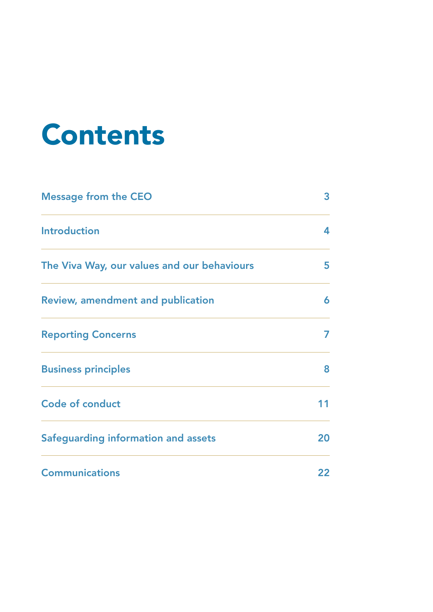# Contents

| <b>Message from the CEO</b>                 | 3  |
|---------------------------------------------|----|
| <b>Introduction</b>                         | 4  |
| The Viva Way, our values and our behaviours | 5. |
| <b>Review, amendment and publication</b>    | 6  |
| <b>Reporting Concerns</b>                   | 7  |
| <b>Business principles</b>                  | 8  |
| <b>Code of conduct</b>                      | 11 |
| Safeguarding information and assets         | 20 |
| <b>Communications</b>                       | 22 |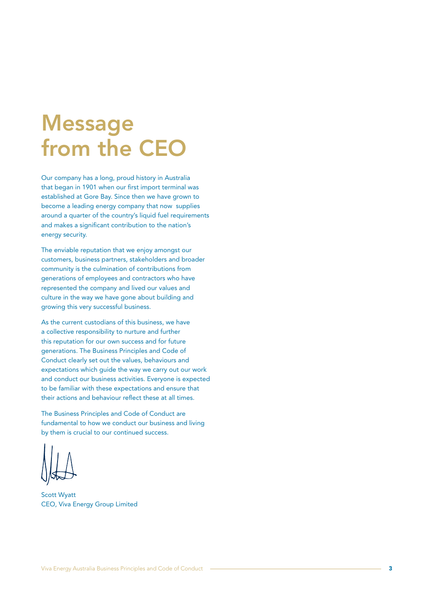# Message from the CEO

Our company has a long, proud history in Australia that began in 1901 when our first import terminal was established at Gore Bay. Since then we have grown to become a leading energy company that now supplies around a quarter of the country's liquid fuel requirements and makes a significant contribution to the nation's energy security.

The enviable reputation that we enjoy amongst our customers, business partners, stakeholders and broader community is the culmination of contributions from generations of employees and contractors who have represented the company and lived our values and culture in the way we have gone about building and growing this very successful business.

As the current custodians of this business, we have a collective responsibility to nurture and further this reputation for our own success and for future generations. The Business Principles and Code of Conduct clearly set out the values, behaviours and expectations which guide the way we carry out our work and conduct our business activities. Everyone is expected to be familiar with these expectations and ensure that their actions and behaviour reflect these at all times.

The Business Principles and Code of Conduct are fundamental to how we conduct our business and living by them is crucial to our continued success.

Scott Wyatt CEO, Viva Energy Group Limited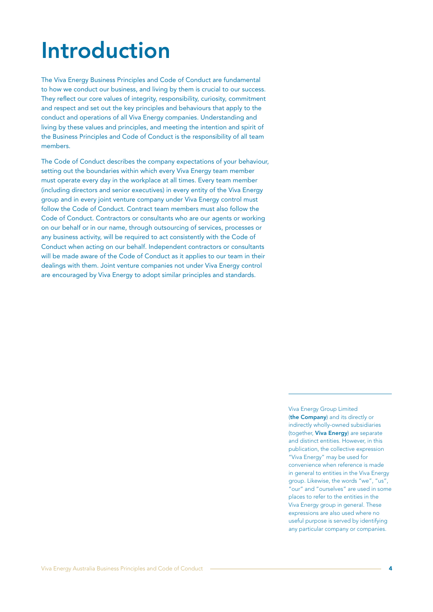# Introduction

The Viva Energy Business Principles and Code of Conduct are fundamental to how we conduct our business, and living by them is crucial to our success. They reflect our core values of integrity, responsibility, curiosity, commitment and respect and set out the key principles and behaviours that apply to the conduct and operations of all Viva Energy companies. Understanding and living by these values and principles, and meeting the intention and spirit of the Business Principles and Code of Conduct is the responsibility of all team members.

The Code of Conduct describes the company expectations of your behaviour, setting out the boundaries within which every Viva Energy team member must operate every day in the workplace at all times. Every team member (including directors and senior executives) in every entity of the Viva Energy group and in every joint venture company under Viva Energy control must follow the Code of Conduct. Contract team members must also follow the Code of Conduct. Contractors or consultants who are our agents or working on our behalf or in our name, through outsourcing of services, processes or any business activity, will be required to act consistently with the Code of Conduct when acting on our behalf. Independent contractors or consultants will be made aware of the Code of Conduct as it applies to our team in their dealings with them. Joint venture companies not under Viva Energy control are encouraged by Viva Energy to adopt similar principles and standards.

> Viva Energy Group Limited (the Company) and its directly or indirectly wholly-owned subsidiaries (together, Viva Energy) are separate and distinct entities. However, in this publication, the collective expression "Viva Energy" may be used for convenience when reference is made in general to entities in the Viva Energy group. Likewise, the words "we", "us", "our" and "ourselves" are used in some places to refer to the entities in the Viva Energy group in general. These expressions are also used where no useful purpose is served by identifying any particular company or companies.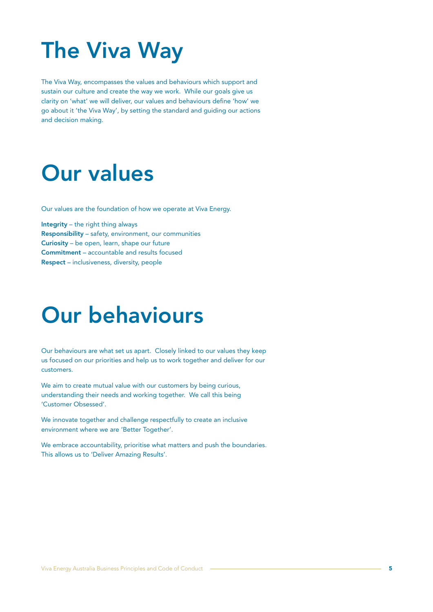# The Viva Way

The Viva Way, encompasses the values and behaviours which support and sustain our culture and create the way we work. While our goals give us clarity on 'what' we will deliver, our values and behaviours define 'how' we go about it 'the Viva Way', by setting the standard and guiding our actions and decision making.

# Our values

Our values are the foundation of how we operate at Viva Energy.

Integrity – the right thing always Responsibility – safety, environment, our communities Curiosity – be open, learn, shape our future Commitment – accountable and results focused Respect – inclusiveness, diversity, people

# Our behaviours

Our behaviours are what set us apart. Closely linked to our values they keep us focused on our priorities and help us to work together and deliver for our customers.

We aim to create mutual value with our customers by being curious, understanding their needs and working together. We call this being 'Customer Obsessed'.

We innovate together and challenge respectfully to create an inclusive environment where we are 'Better Together'.

We embrace accountability, prioritise what matters and push the boundaries. This allows us to 'Deliver Amazing Results'.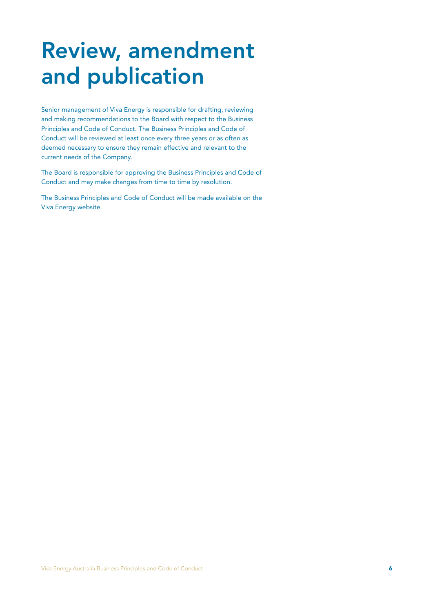# Review, amendment and publication

Senior management of Viva Energy is responsible for drafting, reviewing and making recommendations to the Board with respect to the Business Principles and Code of Conduct. The Business Principles and Code of Conduct will be reviewed at least once every three years or as often as deemed necessary to ensure they remain effective and relevant to the current needs of the Company.

The Board is responsible for approving the Business Principles and Code of Conduct and may make changes from time to time by resolution.

The Business Principles and Code of Conduct will be made available on the Viva Energy website.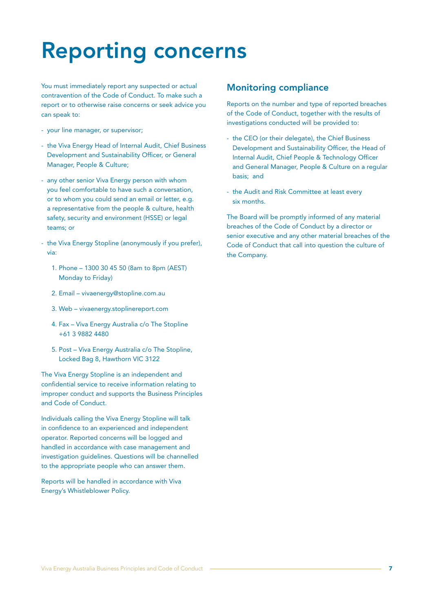# Reporting concerns

You must immediately report any suspected or actual contravention of the Code of Conduct. To make such a report or to otherwise raise concerns or seek advice you can speak to:

- your line manager, or supervisor;
- the Viva Energy Head of Internal Audit, Chief Business Development and Sustainability Officer, or General Manager, People & Culture;
- any other senior Viva Energy person with whom you feel comfortable to have such a conversation, or to whom you could send an email or letter, e.g. a representative from the people & culture, health safety, security and environment (HSSE) or legal teams; or
- the Viva Energy Stopline (anonymously if you prefer), via:
	- 1. Phone 1300 30 45 50 (8am to 8pm (AEST) Monday to Friday)
	- 2. Email vivaenergy@stopline.com.au
	- 3. Web vivaenergy.stoplinereport.com
	- 4. Fax Viva Energy Australia c/o The Stopline +61 3 9882 4480
	- 5. Post Viva Energy Australia c/o The Stopline, Locked Bag 8, Hawthorn VIC 3122

The Viva Energy Stopline is an independent and confidential service to receive information relating to improper conduct and supports the Business Principles and Code of Conduct.

Individuals calling the Viva Energy Stopline will talk in confidence to an experienced and independent operator. Reported concerns will be logged and handled in accordance with case management and investigation guidelines. Questions will be channelled to the appropriate people who can answer them.

Reports will be handled in accordance with Viva Energy's Whistleblower Policy.

# Monitoring compliance

Reports on the number and type of reported breaches of the Code of Conduct, together with the results of investigations conducted will be provided to:

- the CEO (or their delegate), the Chief Business Development and Sustainability Officer, the Head of Internal Audit, Chief People & Technology Officer and General Manager, People & Culture on a regular basis; and
- the Audit and Risk Committee at least every six months.

The Board will be promptly informed of any material breaches of the Code of Conduct by a director or senior executive and any other material breaches of the Code of Conduct that call into question the culture of the Company.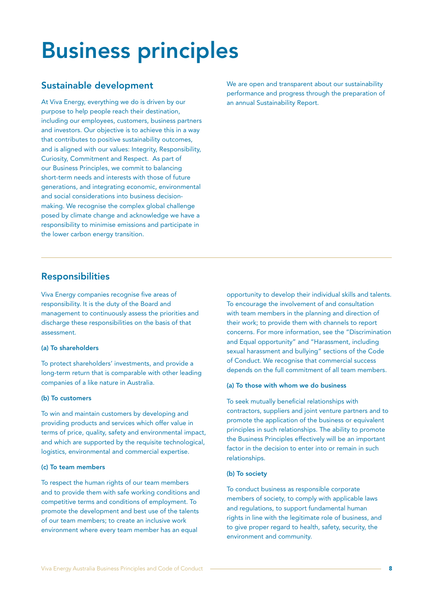# Business principles

# Sustainable development

At Viva Energy, everything we do is driven by our purpose to help people reach their destination, including our employees, customers, business partners and investors. Our objective is to achieve this in a way that contributes to positive sustainability outcomes, and is aligned with our values: Integrity, Responsibility, Curiosity, Commitment and Respect. As part of our Business Principles, we commit to balancing short-term needs and interests with those of future generations, and integrating economic, environmental and social considerations into business decisionmaking. We recognise the complex global challenge posed by climate change and acknowledge we have a responsibility to minimise emissions and participate in the lower carbon energy transition.

We are open and transparent about our sustainability performance and progress through the preparation of an annual Sustainability Report.

# Responsibilities

Viva Energy companies recognise five areas of responsibility. It is the duty of the Board and management to continuously assess the priorities and discharge these responsibilities on the basis of that assessment.

#### (a) To shareholders

To protect shareholders' investments, and provide a long-term return that is comparable with other leading companies of a like nature in Australia.

#### (b) To customers

To win and maintain customers by developing and providing products and services which offer value in terms of price, quality, safety and environmental impact, and which are supported by the requisite technological, logistics, environmental and commercial expertise.

#### (c) To team members

To respect the human rights of our team members and to provide them with safe working conditions and competitive terms and conditions of employment. To promote the development and best use of the talents of our team members; to create an inclusive work environment where every team member has an equal

opportunity to develop their individual skills and talents. To encourage the involvement of and consultation with team members in the planning and direction of their work; to provide them with channels to report concerns. For more information, see the "Discrimination and Equal opportunity" and "Harassment, including sexual harassment and bullying" sections of the Code of Conduct. We recognise that commercial success depends on the full commitment of all team members.

#### (a) To those with whom we do business

To seek mutually beneficial relationships with contractors, suppliers and joint venture partners and to promote the application of the business or equivalent principles in such relationships. The ability to promote the Business Principles effectively will be an important factor in the decision to enter into or remain in such relationships.

#### (b) To society

To conduct business as responsible corporate members of society, to comply with applicable laws and regulations, to support fundamental human rights in line with the legitimate role of business, and to give proper regard to health, safety, security, the environment and community.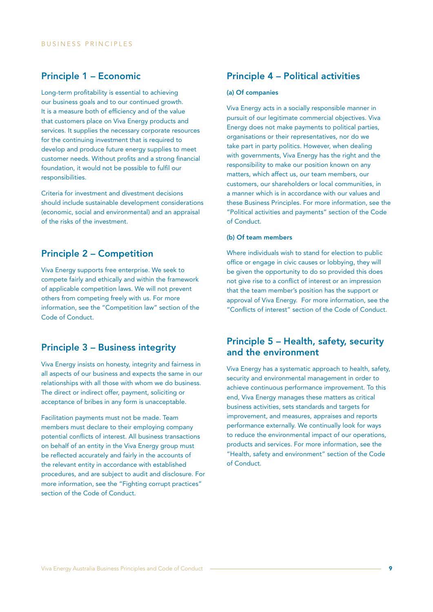# Principle 1 – Economic

Long-term profitability is essential to achieving our business goals and to our continued growth. It is a measure both of efficiency and of the value that customers place on Viva Energy products and services. It supplies the necessary corporate resources for the continuing investment that is required to develop and produce future energy supplies to meet customer needs. Without profits and a strong financial foundation, it would not be possible to fulfil our responsibilities.

Criteria for investment and divestment decisions should include sustainable development considerations (economic, social and environmental) and an appraisal of the risks of the investment.

### Principle 2 – Competition

Viva Energy supports free enterprise. We seek to compete fairly and ethically and within the framework of applicable competition laws. We will not prevent others from competing freely with us. For more information, see the "Competition law" section of the Code of Conduct.

# Principle 3 – Business integrity

Viva Energy insists on honesty, integrity and fairness in all aspects of our business and expects the same in our relationships with all those with whom we do business. The direct or indirect offer, payment, soliciting or acceptance of bribes in any form is unacceptable.

Facilitation payments must not be made. Team members must declare to their employing company potential conflicts of interest. All business transactions on behalf of an entity in the Viva Energy group must be reflected accurately and fairly in the accounts of the relevant entity in accordance with established procedures, and are subject to audit and disclosure. For more information, see the "Fighting corrupt practices" section of the Code of Conduct.

# Principle 4 – Political activities

#### (a) Of companies

Viva Energy acts in a socially responsible manner in pursuit of our legitimate commercial objectives. Viva Energy does not make payments to political parties, organisations or their representatives, nor do we take part in party politics. However, when dealing with governments, Viva Energy has the right and the responsibility to make our position known on any matters, which affect us, our team members, our customers, our shareholders or local communities, in a manner which is in accordance with our values and these Business Principles. For more information, see the "Political activities and payments" section of the Code of Conduct.

#### (b) Of team members

Where individuals wish to stand for election to public office or engage in civic causes or lobbying, they will be given the opportunity to do so provided this does not give rise to a conflict of interest or an impression that the team member's position has the support or approval of Viva Energy. For more information, see the "Conflicts of interest" section of the Code of Conduct.

# Principle 5 – Health, safety, security and the environment

Viva Energy has a systematic approach to health, safety, security and environmental management in order to achieve continuous performance improvement. To this end, Viva Energy manages these matters as critical business activities, sets standards and targets for improvement, and measures, appraises and reports performance externally. We continually look for ways to reduce the environmental impact of our operations, products and services. For more information, see the "Health, safety and environment" section of the Code of Conduct.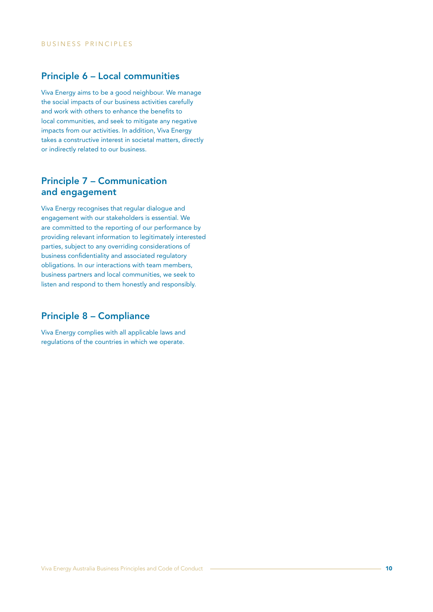# Principle 6 – Local communities

Viva Energy aims to be a good neighbour. We manage the social impacts of our business activities carefully and work with others to enhance the benefits to local communities, and seek to mitigate any negative impacts from our activities. In addition, Viva Energy takes a constructive interest in societal matters, directly or indirectly related to our business.

# Principle 7 – Communication and engagement

Viva Energy recognises that regular dialogue and engagement with our stakeholders is essential. We are committed to the reporting of our performance by providing relevant information to legitimately interested parties, subject to any overriding considerations of business confidentiality and associated regulatory obligations. In our interactions with team members, business partners and local communities, we seek to listen and respond to them honestly and responsibly.

### Principle 8 – Compliance

Viva Energy complies with all applicable laws and regulations of the countries in which we operate.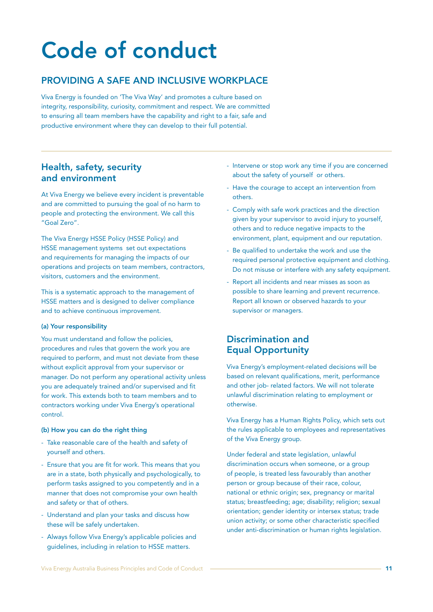# Code of conduct

# PROVIDING A SAFE AND INCLUSIVE WORKPLACE

Viva Energy is founded on 'The Viva Way' and promotes a culture based on integrity, responsibility, curiosity, commitment and respect. We are committed to ensuring all team members have the capability and right to a fair, safe and productive environment where they can develop to their full potential.

# Health, safety, security and environment

At Viva Energy we believe every incident is preventable and are committed to pursuing the goal of no harm to people and protecting the environment. We call this "Goal Zero".

The Viva Energy HSSE Policy (HSSE Policy) and HSSE management systems set out expectations and requirements for managing the impacts of our operations and projects on team members, contractors, visitors, customers and the environment.

This is a systematic approach to the management of HSSE matters and is designed to deliver compliance and to achieve continuous improvement.

#### (a) Your responsibility

You must understand and follow the policies, procedures and rules that govern the work you are required to perform, and must not deviate from these without explicit approval from your supervisor or manager. Do not perform any operational activity unless you are adequately trained and/or supervised and fit for work. This extends both to team members and to contractors working under Viva Energy's operational control.

#### (b) How you can do the right thing

- Take reasonable care of the health and safety of yourself and others.
- Ensure that you are fit for work. This means that you are in a state, both physically and psychologically, to perform tasks assigned to you competently and in a manner that does not compromise your own health and safety or that of others.
- Understand and plan your tasks and discuss how these will be safely undertaken.
- Always follow Viva Energy's applicable policies and guidelines, including in relation to HSSE matters.
- Intervene or stop work any time if you are concerned about the safety of yourself or others.
- Have the courage to accept an intervention from others.
- Comply with safe work practices and the direction given by your supervisor to avoid injury to yourself, others and to reduce negative impacts to the environment, plant, equipment and our reputation.
- Be qualified to undertake the work and use the required personal protective equipment and clothing. Do not misuse or interfere with any safety equipment.
- Report all incidents and near misses as soon as possible to share learning and prevent recurrence. Report all known or observed hazards to your supervisor or managers.

# Discrimination and Equal Opportunity

Viva Energy's employment-related decisions will be based on relevant qualifications, merit, performance and other job- related factors. We will not tolerate unlawful discrimination relating to employment or otherwise.

Viva Energy has a Human Rights Policy, which sets out the rules applicable to employees and representatives of the Viva Energy group.

Under federal and state legislation, unlawful discrimination occurs when someone, or a group of people, is treated less favourably than another person or group because of their race, colour, national or ethnic origin; sex, pregnancy or marital status; breastfeeding; age; disability; religion; sexual orientation; gender identity or intersex status; trade union activity; or some other characteristic specified under anti-discrimination or human rights legislation.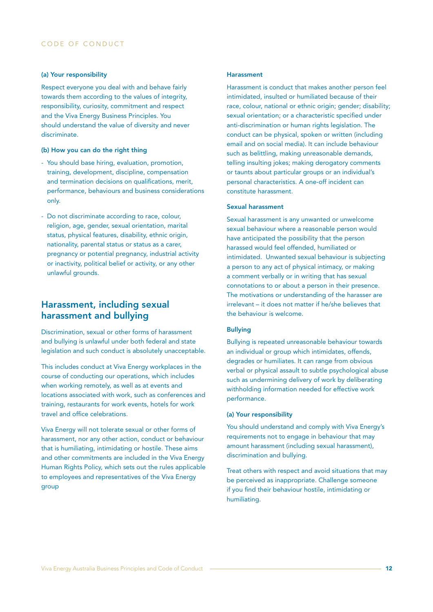#### (a) Your responsibility

Respect everyone you deal with and behave fairly towards them according to the values of integrity, responsibility, curiosity, commitment and respect and the Viva Energy Business Principles. You should understand the value of diversity and never discriminate.

#### (b) How you can do the right thing

- You should base hiring, evaluation, promotion, training, development, discipline, compensation and termination decisions on qualifications, merit, performance, behaviours and business considerations only.
- Do not discriminate according to race, colour, religion, age, gender, sexual orientation, marital status, physical features, disability, ethnic origin, nationality, parental status or status as a carer, pregnancy or potential pregnancy, industrial activity or inactivity, political belief or activity, or any other unlawful grounds.

### Harassment, including sexual harassment and bullying

Discrimination, sexual or other forms of harassment and bullying is unlawful under both federal and state legislation and such conduct is absolutely unacceptable.

This includes conduct at Viva Energy workplaces in the course of conducting our operations, which includes when working remotely, as well as at events and locations associated with work, such as conferences and training, restaurants for work events, hotels for work travel and office celebrations.

Viva Energy will not tolerate sexual or other forms of harassment, nor any other action, conduct or behaviour that is humiliating, intimidating or hostile. These aims and other commitments are included in the Viva Energy Human Rights Policy, which sets out the rules applicable to employees and representatives of the Viva Energy group

#### Harassment

Harassment is conduct that makes another person feel intimidated, insulted or humiliated because of their race, colour, national or ethnic origin; gender; disability; sexual orientation; or a characteristic specified under anti-discrimination or human rights legislation. The conduct can be physical, spoken or written (including email and on social media). It can include behaviour such as belittling, making unreasonable demands, telling insulting jokes; making derogatory comments or taunts about particular groups or an individual's personal characteristics. A one-off incident can constitute harassment.

#### Sexual harassment

Sexual harassment is any unwanted or unwelcome sexual behaviour where a reasonable person would have anticipated the possibility that the person harassed would feel offended, humiliated or intimidated. Unwanted sexual behaviour is subjecting a person to any act of physical intimacy, or making a comment verbally or in writing that has sexual connotations to or about a person in their presence. The motivations or understanding of the harasser are irrelevant – it does not matter if he/she believes that the behaviour is welcome.

#### Bullying

Bullying is repeated unreasonable behaviour towards an individual or group which intimidates, offends, degrades or humiliates. It can range from obvious verbal or physical assault to subtle psychological abuse such as undermining delivery of work by deliberating withholding information needed for effective work performance.

#### (a) Your responsibility

You should understand and comply with Viva Energy's requirements not to engage in behaviour that may amount harassment (including sexual harassment), discrimination and bullying.

Treat others with respect and avoid situations that may be perceived as inappropriate. Challenge someone if you find their behaviour hostile, intimidating or humiliating.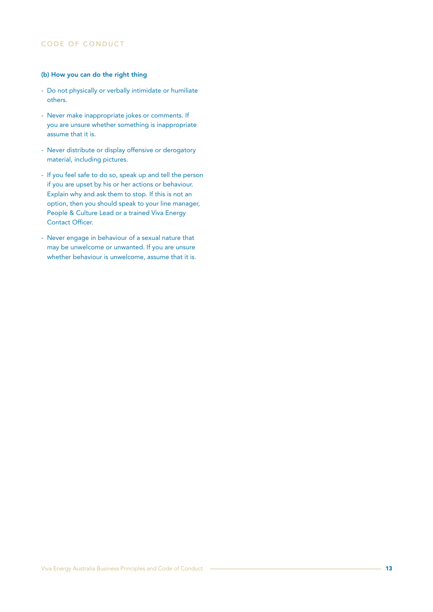### CODE OF CONDUCT

#### (b) How you can do the right thing

- Do not physically or verbally intimidate or humiliate others.
- Never make inappropriate jokes or comments. If you are unsure whether something is inappropriate assume that it is.
- Never distribute or display offensive or derogatory material, including pictures.
- If you feel safe to do so, speak up and tell the person if you are upset by his or her actions or behaviour. Explain why and ask them to stop. If this is not an option, then you should speak to your line manager, People & Culture Lead or a trained Viva Energy Contact Officer.
- Never engage in behaviour of a sexual nature that may be unwelcome or unwanted. If you are unsure whether behaviour is unwelcome, assume that it is.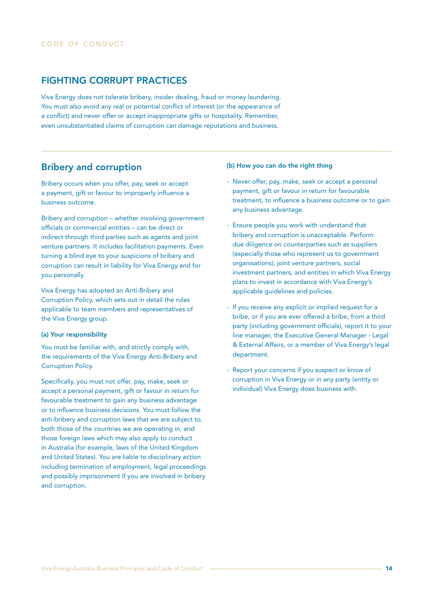### FIGHTING CORRUPT PRACTICES

Viva Energy does not tolerate bribery, insider dealing, fraud or money laundering. You must also avoid any real or potential conflict of interest (or the appearance of a conflict) and never offer or accept inappropriate gifts or hospitality. Remember, even unsubstantiated claims of corruption can damage reputations and business.

### Bribery and corruption

Bribery occurs when you offer, pay, seek or accept a payment, gift or favour to improperly influence a business outcome.

Bribery and corruption – whether involving government officials or commercial entities – can be direct or indirect through third parties such as agents and joint venture partners. It includes facilitation payments. Even turning a blind eye to your suspicions of bribery and corruption can result in liability for Viva Energy and for you personally.

Viva Energy has adopted an Anti-Bribery and Corruption Policy, which sets out in detail the rules applicable to team members and representatives of the Viva Energy group.

#### (a) Your responsibility

You must be familiar with, and strictly comply with, the requirements of the Viva Energy Anti-Bribery and Corruption Policy.

Specifically, you must not offer, pay, make, seek or accept a personal payment, gift or favour in return for favourable treatment to gain any business advantage or to influence business decisions. You must follow the anti-bribery and corruption laws that we are subject to, both those of the countries we are operating in, and those foreign laws which may also apply to conduct in Australia (for example, laws of the United Kingdom and United States). You are liable to disciplinary action including termination of employment, legal proceedings and possibly imprisonment if you are involved in bribery and corruption.

#### (b) How you can do the right thing

- Never offer, pay, make, seek or accept a personal payment, gift or favour in return for favourable treatment, to influence a business outcome or to gain any business advantage.
- Ensure people you work with understand that bribery and corruption is unacceptable. Perform due diligence on counterparties such as suppliers (especially those who represent us to government organisations), joint venture partners, social investment partners, and entities in which Viva Energy plans to invest in accordance with Viva Energy's applicable guidelines and policies.
- If you receive any explicit or implied request for a bribe, or if you are ever offered a bribe, from a third party (including government officials), report it to your line manager, the Executive General Manager - Legal & External Affairs, or a member of Viva Energy's legal department.
- Report your concerns if you suspect or know of corruption in Viva Energy or in any party (entity or individual) Viva Energy does business with.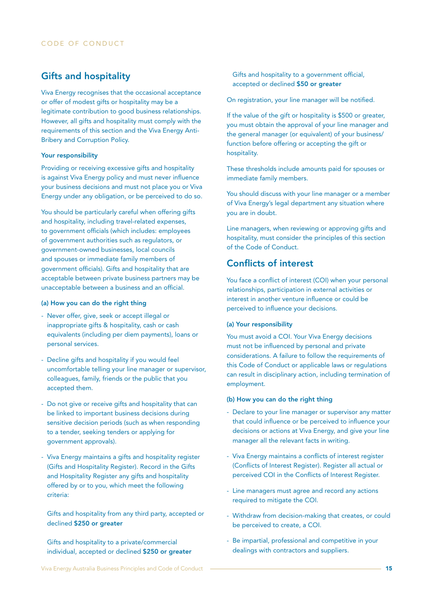# Gifts and hospitality

Viva Energy recognises that the occasional acceptance or offer of modest gifts or hospitality may be a legitimate contribution to good business relationships. However, all gifts and hospitality must comply with the requirements of this section and the Viva Energy Anti-Bribery and Corruption Policy.

#### Your responsibility

Providing or receiving excessive gifts and hospitality is against Viva Energy policy and must never influence your business decisions and must not place you or Viva Energy under any obligation, or be perceived to do so.

You should be particularly careful when offering gifts and hospitality, including travel-related expenses, to government officials (which includes: employees of government authorities such as regulators, or government-owned businesses, local councils and spouses or immediate family members of government officials). Gifts and hospitality that are acceptable between private business partners may be unacceptable between a business and an official.

#### (a) How you can do the right thing

- Never offer, give, seek or accept illegal or inappropriate gifts & hospitality, cash or cash equivalents (including per diem payments), loans or personal services.
- Decline gifts and hospitality if you would feel uncomfortable telling your line manager or supervisor, colleagues, family, friends or the public that you accepted them.
- Do not give or receive gifts and hospitality that can be linked to important business decisions during sensitive decision periods (such as when responding to a tender, seeking tenders or applying for government approvals).
- Viva Energy maintains a gifts and hospitality register (Gifts and Hospitality Register). Record in the Gifts and Hospitality Register any gifts and hospitality offered by or to you, which meet the following criteria:

Gifts and hospitality from any third party, accepted or declined \$250 or greater

Gifts and hospitality to a private/commercial individual, accepted or declined \$250 or greater accepted or declined \$50 or greater

On registration, your line manager will be notified.

Gifts and hospitality to a government official,

If the value of the gift or hospitality is \$500 or greater, you must obtain the approval of your line manager and the general manager (or equivalent) of your business/ function before offering or accepting the gift or hospitality.

These thresholds include amounts paid for spouses or immediate family members.

You should discuss with your line manager or a member of Viva Energy's legal department any situation where you are in doubt.

Line managers, when reviewing or approving gifts and hospitality, must consider the principles of this section of the Code of Conduct.

# Conflicts of interest

You face a conflict of interest (COI) when your personal relationships, participation in external activities or interest in another venture influence or could be perceived to influence your decisions.

#### (a) Your responsibility

You must avoid a COI. Your Viva Energy decisions must not be influenced by personal and private considerations. A failure to follow the requirements of this Code of Conduct or applicable laws or regulations can result in disciplinary action, including termination of employment.

#### (b) How you can do the right thing

- Declare to your line manager or supervisor any matter that could influence or be perceived to influence your decisions or actions at Viva Energy, and give your line manager all the relevant facts in writing.
- Viva Energy maintains a conflicts of interest register (Conflicts of Interest Register). Register all actual or perceived COI in the Conflicts of Interest Register.
- Line managers must agree and record any actions required to mitigate the COI.
- Withdraw from decision-making that creates, or could be perceived to create, a COI.
- Be impartial, professional and competitive in your dealings with contractors and suppliers.

Viva Energy Australia Business Principles and Code of Conduct 15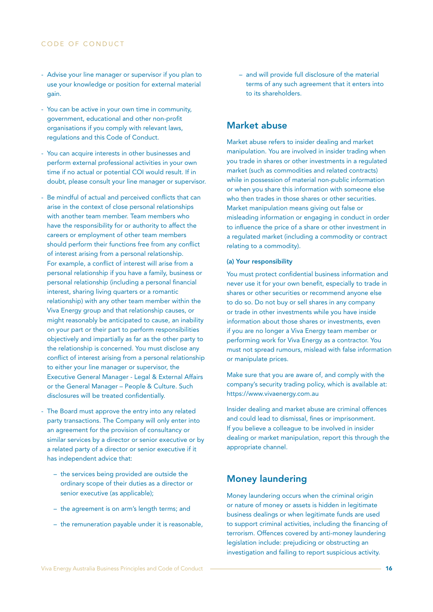#### CODE OF CONDUCT

- Advise your line manager or supervisor if you plan to use your knowledge or position for external material gain.
- You can be active in your own time in community, government, educational and other non-profit organisations if you comply with relevant laws, regulations and this Code of Conduct.
- You can acquire interests in other businesses and perform external professional activities in your own time if no actual or potential COI would result. If in doubt, please consult your line manager or supervisor.
- Be mindful of actual and perceived conflicts that can arise in the context of close personal relationships with another team member. Team members who have the responsibility for or authority to affect the careers or employment of other team members should perform their functions free from any conflict of interest arising from a personal relationship. For example, a conflict of interest will arise from a personal relationship if you have a family, business or personal relationship (including a personal financial interest, sharing living quarters or a romantic relationship) with any other team member within the Viva Energy group and that relationship causes, or might reasonably be anticipated to cause, an inability on your part or their part to perform responsibilities objectively and impartially as far as the other party to the relationship is concerned. You must disclose any conflict of interest arising from a personal relationship to either your line manager or supervisor, the Executive General Manager - Legal & External Affairs or the General Manager – People & Culture. Such disclosures will be treated confidentially.
- The Board must approve the entry into any related party transactions. The Company will only enter into an agreement for the provision of consultancy or similar services by a director or senior executive or by a related party of a director or senior executive if it has independent advice that:
	- the services being provided are outside the ordinary scope of their duties as a director or senior executive (as applicable);
	- the agreement is on arm's length terms; and
	- the remuneration payable under it is reasonable,

– and will provide full disclosure of the material terms of any such agreement that it enters into to its shareholders.

# Market abuse

Market abuse refers to insider dealing and market manipulation. You are involved in insider trading when you trade in shares or other investments in a regulated market (such as commodities and related contracts) while in possession of material non-public information or when you share this information with someone else who then trades in those shares or other securities. Market manipulation means giving out false or misleading information or engaging in conduct in order to influence the price of a share or other investment in a regulated market (including a commodity or contract relating to a commodity).

#### (a) Your responsibility

You must protect confidential business information and never use it for your own benefit, especially to trade in shares or other securities or recommend anyone else to do so. Do not buy or sell shares in any company or trade in other investments while you have inside information about those shares or investments, even if you are no longer a Viva Energy team member or performing work for Viva Energy as a contractor. You must not spread rumours, mislead with false information or manipulate prices.

Make sure that you are aware of, and comply with the company's security trading policy, which is available at: https://www.vivaenergy.com.au

Insider dealing and market abuse are criminal offences and could lead to dismissal, fines or imprisonment. If you believe a colleague to be involved in insider dealing or market manipulation, report this through the appropriate channel.

### Money laundering

Money laundering occurs when the criminal origin or nature of money or assets is hidden in legitimate business dealings or when legitimate funds are used to support criminal activities, including the financing of terrorism. Offences covered by anti-money laundering legislation include: prejudicing or obstructing an investigation and failing to report suspicious activity.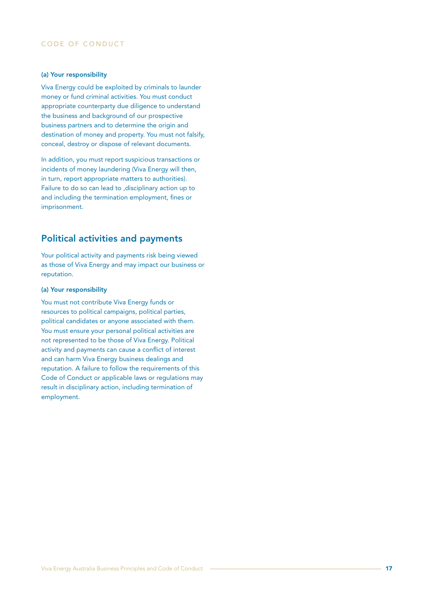### CODE OF CONDUCT

#### (a) Your responsibility

Viva Energy could be exploited by criminals to launder money or fund criminal activities. You must conduct appropriate counterparty due diligence to understand the business and background of our prospective business partners and to determine the origin and destination of money and property. You must not falsify, conceal, destroy or dispose of relevant documents.

In addition, you must report suspicious transactions or incidents of money laundering (Viva Energy will then, in turn, report appropriate matters to authorities). Failure to do so can lead to ,disciplinary action up to and including the termination employment, fines or imprisonment.

# Political activities and payments

Your political activity and payments risk being viewed as those of Viva Energy and may impact our business or reputation.

#### (a) Your responsibility

You must not contribute Viva Energy funds or resources to political campaigns, political parties, political candidates or anyone associated with them. You must ensure your personal political activities are not represented to be those of Viva Energy. Political activity and payments can cause a conflict of interest and can harm Viva Energy business dealings and reputation. A failure to follow the requirements of this Code of Conduct or applicable laws or regulations may result in disciplinary action, including termination of employment.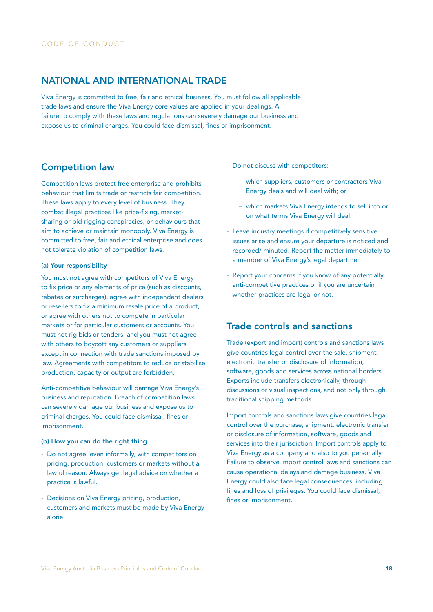### NATIONAL AND INTERNATIONAL TRADE

Viva Energy is committed to free, fair and ethical business. You must follow all applicable trade laws and ensure the Viva Energy core values are applied in your dealings. A failure to comply with these laws and regulations can severely damage our business and expose us to criminal charges. You could face dismissal, fines or imprisonment.

### Competition law

Competition laws protect free enterprise and prohibits behaviour that limits trade or restricts fair competition. These laws apply to every level of business. They combat illegal practices like price-fixing, marketsharing or bid-rigging conspiracies, or behaviours that aim to achieve or maintain monopoly. Viva Energy is committed to free, fair and ethical enterprise and does not tolerate violation of competition laws.

#### (a) Your responsibility

You must not agree with competitors of Viva Energy to fix price or any elements of price (such as discounts, rebates or surcharges), agree with independent dealers or resellers to fix a minimum resale price of a product, or agree with others not to compete in particular markets or for particular customers or accounts. You must not rig bids or tenders, and you must not agree with others to boycott any customers or suppliers except in connection with trade sanctions imposed by law. Agreements with competitors to reduce or stabilise production, capacity or output are forbidden.

Anti-competitive behaviour will damage Viva Energy's business and reputation. Breach of competition laws can severely damage our business and expose us to criminal charges. You could face dismissal, fines or imprisonment.

#### (b) How you can do the right thing

- Do not agree, even informally, with competitors on pricing, production, customers or markets without a lawful reason. Always get legal advice on whether a practice is lawful.
- Decisions on Viva Energy pricing, production, customers and markets must be made by Viva Energy alone.
- Do not discuss with competitors:
	- which suppliers, customers or contractors Viva Energy deals and will deal with; or
	- which markets Viva Energy intends to sell into or on what terms Viva Energy will deal.
- Leave industry meetings if competitively sensitive issues arise and ensure your departure is noticed and recorded/ minuted. Report the matter immediately to a member of Viva Energy's legal department.
- Report your concerns if you know of any potentially anti-competitive practices or if you are uncertain whether practices are legal or not.

# Trade controls and sanctions

Trade (export and import) controls and sanctions laws give countries legal control over the sale, shipment, electronic transfer or disclosure of information, software, goods and services across national borders. Exports include transfers electronically, through discussions or visual inspections, and not only through traditional shipping methods.

Import controls and sanctions laws give countries legal control over the purchase, shipment, electronic transfer or disclosure of information, software, goods and services into their jurisdiction. Import controls apply to Viva Energy as a company and also to you personally. Failure to observe import control laws and sanctions can cause operational delays and damage business. Viva Energy could also face legal consequences, including fines and loss of privileges. You could face dismissal, fines or imprisonment.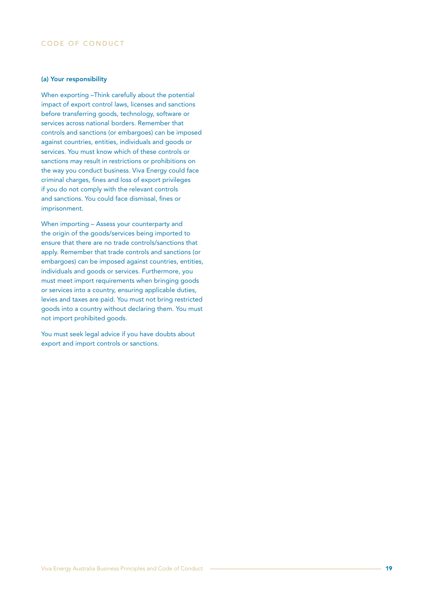#### (a) Your responsibility

When exporting –Think carefully about the potential impact of export control laws, licenses and sanctions before transferring goods, technology, software or services across national borders. Remember that controls and sanctions (or embargoes) can be imposed against countries, entities, individuals and goods or services. You must know which of these controls or sanctions may result in restrictions or prohibitions on the way you conduct business. Viva Energy could face criminal charges, fines and loss of export privileges if you do not comply with the relevant controls and sanctions. You could face dismissal, fines or imprisonment.

When importing – Assess your counterparty and the origin of the goods/services being imported to ensure that there are no trade controls/sanctions that apply. Remember that trade controls and sanctions (or embargoes) can be imposed against countries, entities, individuals and goods or services. Furthermore, you must meet import requirements when bringing goods or services into a country, ensuring applicable duties, levies and taxes are paid. You must not bring restricted goods into a country without declaring them. You must not import prohibited goods.

You must seek legal advice if you have doubts about export and import controls or sanctions.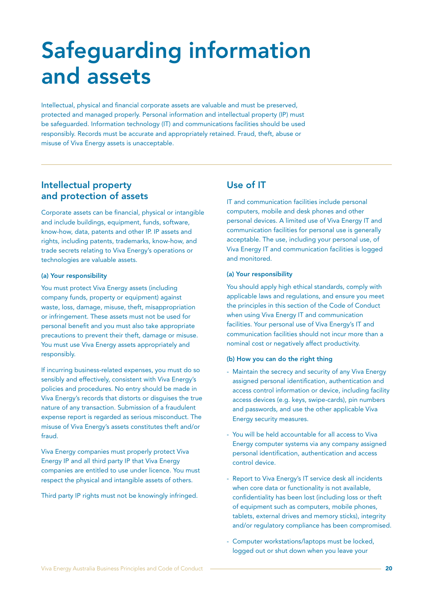# Safeguarding information and assets

Intellectual, physical and financial corporate assets are valuable and must be preserved, protected and managed properly. Personal information and intellectual property (IP) must be safeguarded. Information technology (IT) and communications facilities should be used responsibly. Records must be accurate and appropriately retained. Fraud, theft, abuse or misuse of Viva Energy assets is unacceptable.

# Intellectual property and protection of assets

Corporate assets can be financial, physical or intangible and include buildings, equipment, funds, software, know-how, data, patents and other IP. IP assets and rights, including patents, trademarks, know-how, and trade secrets relating to Viva Energy's operations or technologies are valuable assets.

#### (a) Your responsibility

You must protect Viva Energy assets (including company funds, property or equipment) against waste, loss, damage, misuse, theft, misappropriation or infringement. These assets must not be used for personal benefit and you must also take appropriate precautions to prevent their theft, damage or misuse. You must use Viva Energy assets appropriately and responsibly.

If incurring business-related expenses, you must do so sensibly and effectively, consistent with Viva Energy's policies and procedures. No entry should be made in Viva Energy's records that distorts or disguises the true nature of any transaction. Submission of a fraudulent expense report is regarded as serious misconduct. The misuse of Viva Energy's assets constitutes theft and/or fraud.

Viva Energy companies must properly protect Viva Energy IP and all third party IP that Viva Energy companies are entitled to use under licence. You must respect the physical and intangible assets of others.

Third party IP rights must not be knowingly infringed.

# Use of IT

IT and communication facilities include personal computers, mobile and desk phones and other personal devices. A limited use of Viva Energy IT and communication facilities for personal use is generally acceptable. The use, including your personal use, of Viva Energy IT and communication facilities is logged and monitored.

#### (a) Your responsibility

You should apply high ethical standards, comply with applicable laws and regulations, and ensure you meet the principles in this section of the Code of Conduct when using Viva Energy IT and communication facilities. Your personal use of Viva Energy's IT and communication facilities should not incur more than a nominal cost or negatively affect productivity.

#### (b) How you can do the right thing

- Maintain the secrecy and security of any Viva Energy assigned personal identification, authentication and access control information or device, including facility access devices (e.g. keys, swipe-cards), pin numbers and passwords, and use the other applicable Viva Energy security measures.
- You will be held accountable for all access to Viva Energy computer systems via any company assigned personal identification, authentication and access control device.
- Report to Viva Energy's IT service desk all incidents when core data or functionality is not available, confidentiality has been lost (including loss or theft of equipment such as computers, mobile phones, tablets, external drives and memory sticks), integrity and/or regulatory compliance has been compromised.
- Computer workstations/laptops must be locked, logged out or shut down when you leave your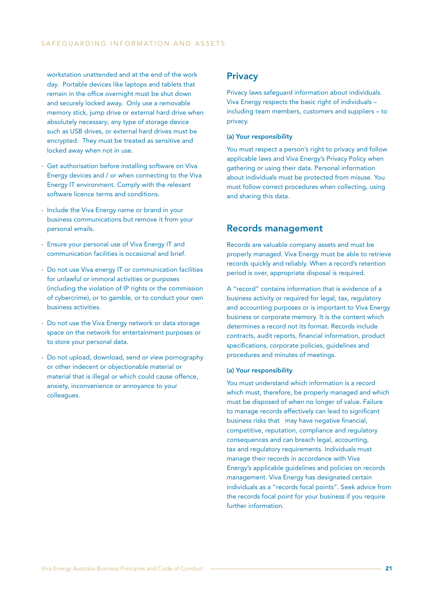workstation unattended and at the end of the work day. Portable devices like laptops and tablets that remain in the office overnight must be shut down and securely locked away. Only use a removable memory stick, jump drive or external hard drive when absolutely necessary; any type of storage device such as USB drives, or external hard drives must be encrypted. They must be treated as sensitive and locked away when not in use.

- Get authorisation before installing software on Viva Energy devices and / or when connecting to the Viva Energy IT environment. Comply with the relevant software licence terms and conditions.
- Include the Viva Energy name or brand in your business communications but remove it from your personal emails.
- Ensure your personal use of Viva Energy IT and communication facilities is occasional and brief.
- Do not use Viva energy IT or communication facilities for unlawful or immoral activities or purposes (including the violation of IP rights or the commission of cybercrime), or to gamble, or to conduct your own business activities.
- Do not use the Viva Energy network or data storage space on the network for entertainment purposes or to store your personal data.
- Do not upload, download, send or view pornography or other indecent or objectionable material or material that is illegal or which could cause offence, anxiety, inconvenience or annoyance to your colleagues.

# **Privacy**

Privacy laws safeguard information about individuals. Viva Energy respects the basic right of individuals – including team members, customers and suppliers – to privacy.

#### (a) Your responsibility

You must respect a person's right to privacy and follow applicable laws and Viva Energy's Privacy Policy when gathering or using their data. Personal information about individuals must be protected from misuse. You must follow correct procedures when collecting, using and sharing this data.

### Records management

Records are valuable company assets and must be properly managed. Viva Energy must be able to retrieve records quickly and reliably. When a record's retention period is over, appropriate disposal is required.

A "record" contains information that is evidence of a business activity or required for legal, tax, regulatory and accounting purposes or is important to Viva Energy business or corporate memory. It is the content which determines a record not its format. Records include contracts, audit reports, financial information, product specifications, corporate policies, guidelines and procedures and minutes of meetings.

#### (a) Your responsibility

You must understand which information is a record which must, therefore, be properly managed and which must be disposed of when no longer of value. Failure to manage records effectively can lead to significant business risks that may have negative financial, competitive, reputation, compliance and regulatory consequences and can breach legal, accounting, tax and regulatory requirements. Individuals must manage their records in accordance with Viva Energy's applicable guidelines and policies on records management. Viva Energy has designated certain individuals as a "records focal points". Seek advice from the records focal point for your business if you require further information.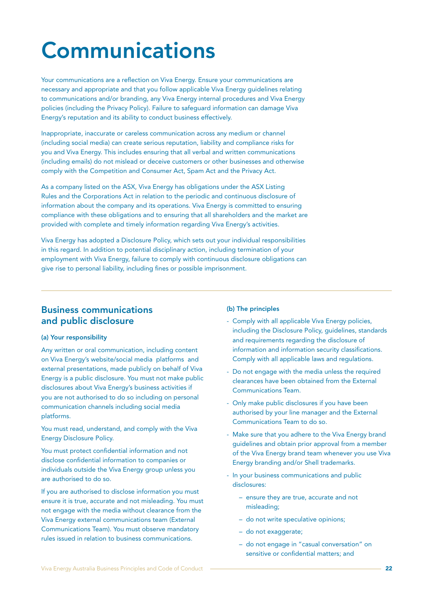# Communications

Your communications are a reflection on Viva Energy. Ensure your communications are necessary and appropriate and that you follow applicable Viva Energy guidelines relating to communications and/or branding, any Viva Energy internal procedures and Viva Energy policies (including the Privacy Policy). Failure to safeguard information can damage Viva Energy's reputation and its ability to conduct business effectively.

Inappropriate, inaccurate or careless communication across any medium or channel (including social media) can create serious reputation, liability and compliance risks for you and Viva Energy. This includes ensuring that all verbal and written communications (including emails) do not mislead or deceive customers or other businesses and otherwise comply with the Competition and Consumer Act, Spam Act and the Privacy Act.

As a company listed on the ASX, Viva Energy has obligations under the ASX Listing Rules and the Corporations Act in relation to the periodic and continuous disclosure of information about the company and its operations. Viva Energy is committed to ensuring compliance with these obligations and to ensuring that all shareholders and the market are provided with complete and timely information regarding Viva Energy's activities.

Viva Energy has adopted a Disclosure Policy, which sets out your individual responsibilities in this regard. In addition to potential disciplinary action, including termination of your employment with Viva Energy, failure to comply with continuous disclosure obligations can give rise to personal liability, including fines or possible imprisonment.

# Business communications and public disclosure

#### (a) Your responsibility

Any written or oral communication, including content on Viva Energy's website/social media platforms and external presentations, made publicly on behalf of Viva Energy is a public disclosure. You must not make public disclosures about Viva Energy's business activities if you are not authorised to do so including on personal communication channels including social media platforms.

You must read, understand, and comply with the Viva Energy Disclosure Policy.

You must protect confidential information and not disclose confidential information to companies or individuals outside the Viva Energy group unless you are authorised to do so.

If you are authorised to disclose information you must ensure it is true, accurate and not misleading. You must not engage with the media without clearance from the Viva Energy external communications team (External Communications Team). You must observe mandatory rules issued in relation to business communications.

#### (b) The principles

- Comply with all applicable Viva Energy policies, including the Disclosure Policy, guidelines, standards and requirements regarding the disclosure of information and information security classifications. Comply with all applicable laws and regulations.
- Do not engage with the media unless the required clearances have been obtained from the External Communications Team.
- Only make public disclosures if you have been authorised by your line manager and the External Communications Team to do so.
- Make sure that you adhere to the Viva Energy brand guidelines and obtain prior approval from a member of the Viva Energy brand team whenever you use Viva Energy branding and/or Shell trademarks.
- In your business communications and public disclosures:
	- ensure they are true, accurate and not misleading;
	- do not write speculative opinions;
	- do not exaggerate;
	- do not engage in "casual conversation" on sensitive or confidential matters; and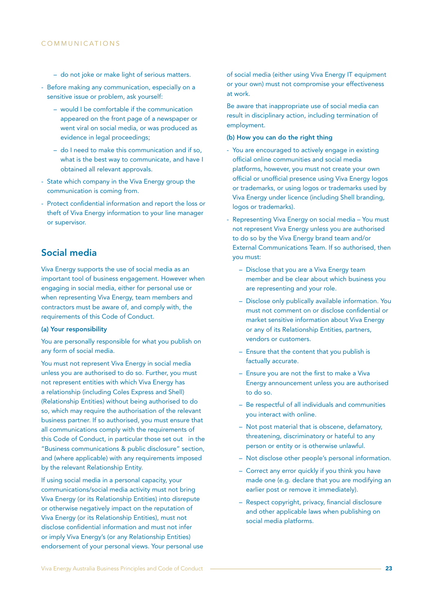- do not joke or make light of serious matters.
- Before making any communication, especially on a sensitive issue or problem, ask yourself:
	- would I be comfortable if the communication appeared on the front page of a newspaper or went viral on social media, or was produced as evidence in legal proceedings;
	- do I need to make this communication and if so, what is the best way to communicate, and have I obtained all relevant approvals.
- State which company in the Viva Energy group the communication is coming from.
- Protect confidential information and report the loss or theft of Viva Energy information to your line manager or supervisor.

# Social media

Viva Energy supports the use of social media as an important tool of business engagement. However when engaging in social media, either for personal use or when representing Viva Energy, team members and contractors must be aware of, and comply with, the requirements of this Code of Conduct.

#### (a) Your responsibility

You are personally responsible for what you publish on any form of social media.

You must not represent Viva Energy in social media unless you are authorised to do so. Further, you must not represent entities with which Viva Energy has a relationship (including Coles Express and Shell) (Relationship Entities) without being authorised to do so, which may require the authorisation of the relevant business partner. If so authorised, you must ensure that all communications comply with the requirements of this Code of Conduct, in particular those set out in the "Business communications & public disclosure" section, and (where applicable) with any requirements imposed by the relevant Relationship Entity.

If using social media in a personal capacity, your communications/social media activity must not bring Viva Energy (or its Relationship Entities) into disrepute or otherwise negatively impact on the reputation of Viva Energy (or its Relationship Entities), must not disclose confidential information and must not infer or imply Viva Energy's (or any Relationship Entities) endorsement of your personal views. Your personal use of social media (either using Viva Energy IT equipment or your own) must not compromise your effectiveness at work.

Be aware that inappropriate use of social media can result in disciplinary action, including termination of employment.

#### (b) How you can do the right thing

- You are encouraged to actively engage in existing official online communities and social media platforms, however, you must not create your own official or unofficial presence using Viva Energy logos or trademarks, or using logos or trademarks used by Viva Energy under licence (including Shell branding, logos or trademarks).
- Representing Viva Energy on social media You must not represent Viva Energy unless you are authorised to do so by the Viva Energy brand team and/or External Communications Team. If so authorised, then you must:
	- Disclose that you are a Viva Energy team member and be clear about which business you are representing and your role.
	- Disclose only publically available information. You must not comment on or disclose confidential or market sensitive information about Viva Energy or any of its Relationship Entities, partners, vendors or customers.
	- Ensure that the content that you publish is factually accurate.
	- Ensure you are not the first to make a Viva Energy announcement unless you are authorised to do so.
	- Be respectful of all individuals and communities you interact with online.
	- Not post material that is obscene, defamatory, threatening, discriminatory or hateful to any person or entity or is otherwise unlawful.
	- Not disclose other people's personal information.
	- Correct any error quickly if you think you have made one (e.g. declare that you are modifying an earlier post or remove it immediately).
	- Respect copyright, privacy, financial disclosure and other applicable laws when publishing on social media platforms.